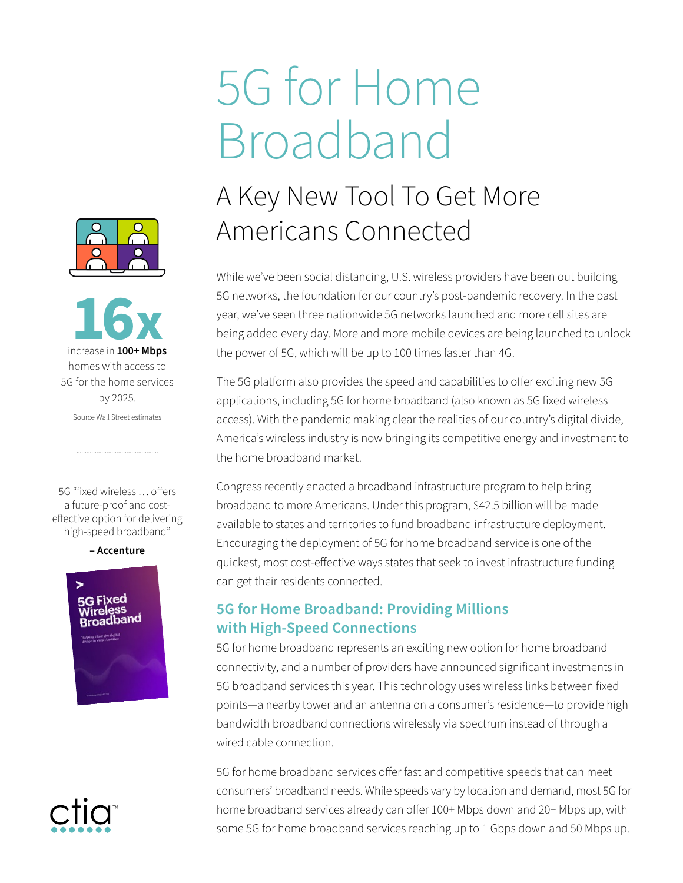**16x** increase in **100+ Mbps** homes with access to 5G for the home services by 2025. Source Wall Street estimates

5G "fixed wireless … offers a future-proof and costeffective option for delivering high-speed broadband"

**– Accenture**



# 5G for Home Broadband

## A Key New Tool To Get More Americans Connected

While we've been social distancing, U.S. wireless providers have been out building 5G networks, the foundation for our country's post-pandemic recovery. In the past year, we've seen three nationwide 5G networks launched and more cell sites are being added every day. More and more mobile devices are being launched to unlock the power of 5G, which will be up to 100 times faster than 4G.

The 5G platform also provides the speed and capabilities to offer exciting new 5G applications, including 5G for home broadband (also known as 5G fixed wireless access). With the pandemic making clear the realities of our country's digital divide, America's wireless industry is now bringing its competitive energy and investment to the home broadband market.

Congress recently enacted a broadband infrastructure program to help bring broadband to more Americans. Under this program, \$42.5 billion will be made available to states and territories to fund broadband infrastructure deployment. Encouraging the deployment of 5G for home broadband service is one of the quickest, most cost-effective ways states that seek to invest infrastructure funding can get their residents connected.

### **5G for Home Broadband: Providing Millions with High-Speed Connections**

5G for home broadband represents an exciting new option for home broadband connectivity, and a number of providers have announced significant investments in 5G broadband services this year. This technology uses wireless links between fixed points—a nearby tower and an antenna on a consumer's residence—to provide high bandwidth broadband connections wirelessly via spectrum instead of through a wired cable connection

5G for home broadband services offer fast and competitive speeds that can meet consumers' broadband needs. While speeds vary by location and demand, most 5G for home broadband services already can offer 100+ Mbps down and 20+ Mbps up, with some 5G for home broadband services reaching up to 1 Gbps down and 50 Mbps up.